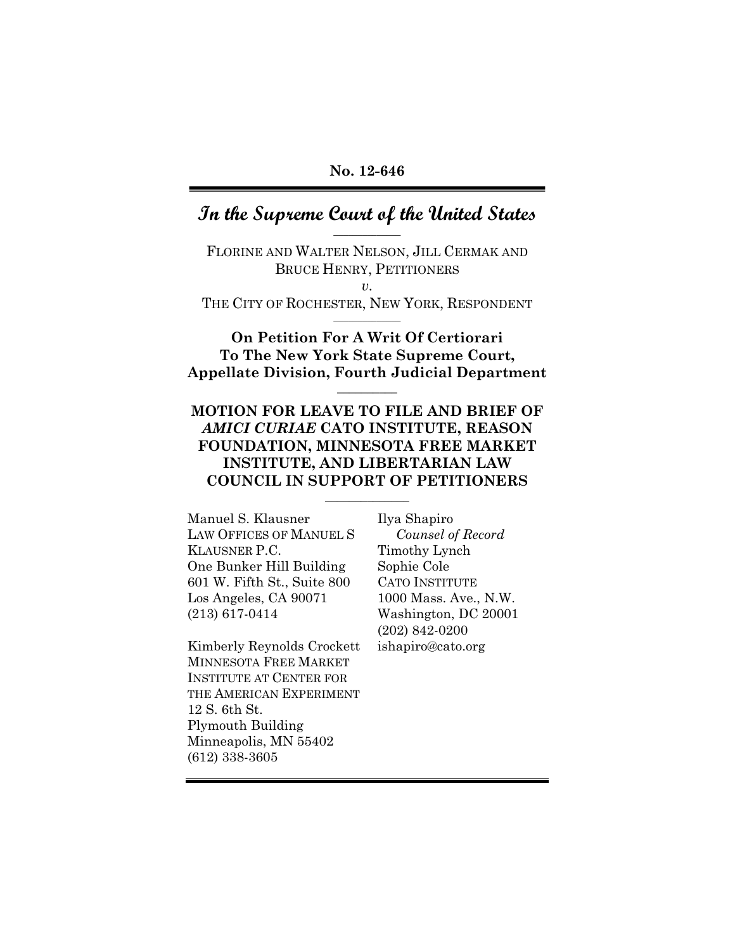## **In the Supreme Court of the United States \_\_\_\_\_\_\_\_\_\_\_\_\_\_**

FLORINE AND WALTER NELSON, JILL CERMAK AND BRUCE HENRY, PETITIONERS  $v<sub>l</sub>$ 

THE CITY OF ROCHESTER, NEW YORK, RESPONDENT **\_\_\_\_\_\_\_\_\_\_\_\_\_\_** 

**On Petition For A Writ Of Certiorari To The New York State Supreme Court, Appellate Division, Fourth Judicial Department** 

**\_\_\_\_\_\_\_\_\_\_** 

## **MOTION FOR LEAVE TO FILE AND BRIEF OF**  *AMICI CURIAE* **CATO INSTITUTE, REASON FOUNDATION, MINNESOTA FREE MARKET INSTITUTE, AND LIBERTARIAN LAW COUNCIL IN SUPPORT OF PETITIONERS**

**\_\_\_\_\_\_\_\_\_\_\_\_\_\_** 

Manuel S. Klausner LAW OFFICES OF MANUEL S KLAUSNER P.C. One Bunker Hill Building 601 W. Fifth St., Suite 800 Los Angeles, CA 90071 (213) 617-0414

Kimberly Reynolds Crockett MINNESOTA FREE MARKET INSTITUTE AT CENTER FOR THE AMERICAN EXPERIMENT 12 S. 6th St. Plymouth Building Minneapolis, MN 55402 (612) 338-3605

Ilya Shapiro  *Counsel of Record*  Timothy Lynch Sophie Cole CATO INSTITUTE 1000 Mass. Ave., N.W. Washington, DC 20001 (202) 842-0200 ishapiro@cato.org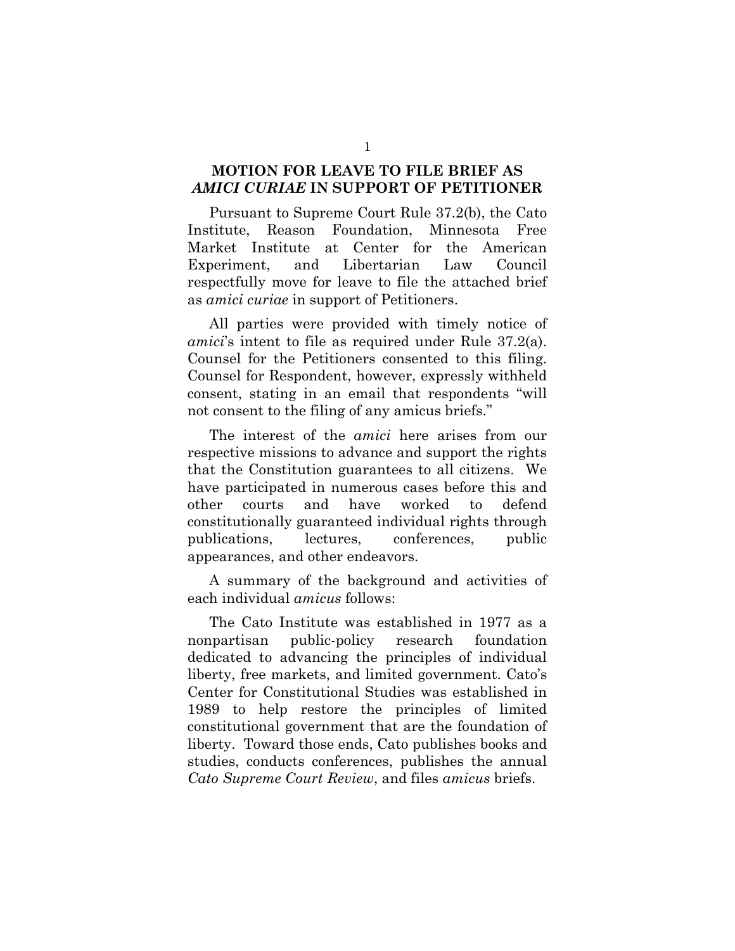### **MOTION FOR LEAVE TO FILE BRIEF AS**  *AMICI CURIAE* **IN SUPPORT OF PETITIONER**

Pursuant to Supreme Court Rule 37.2(b), the Cato Institute, Reason Foundation, Minnesota Free Market Institute at Center for the American Experiment, and Libertarian Law Council respectfully move for leave to file the attached brief as *amici curiae* in support of Petitioners.

All parties were provided with timely notice of *amici*'s intent to file as required under Rule 37.2(a). Counsel for the Petitioners consented to this filing. Counsel for Respondent, however, expressly withheld consent, stating in an email that respondents "will not consent to the filing of any amicus briefs."

The interest of the *amici* here arises from our respective missions to advance and support the rights that the Constitution guarantees to all citizens. We have participated in numerous cases before this and other courts and have worked to defend constitutionally guaranteed individual rights through publications, lectures, conferences, public appearances, and other endeavors.

A summary of the background and activities of each individual *amicus* follows:

The Cato Institute was established in 1977 as a nonpartisan public-policy research foundation dedicated to advancing the principles of individual liberty, free markets, and limited government. Cato's Center for Constitutional Studies was established in 1989 to help restore the principles of limited constitutional government that are the foundation of liberty. Toward those ends, Cato publishes books and studies, conducts conferences, publishes the annual *Cato Supreme Court Review*, and files *amicus* briefs.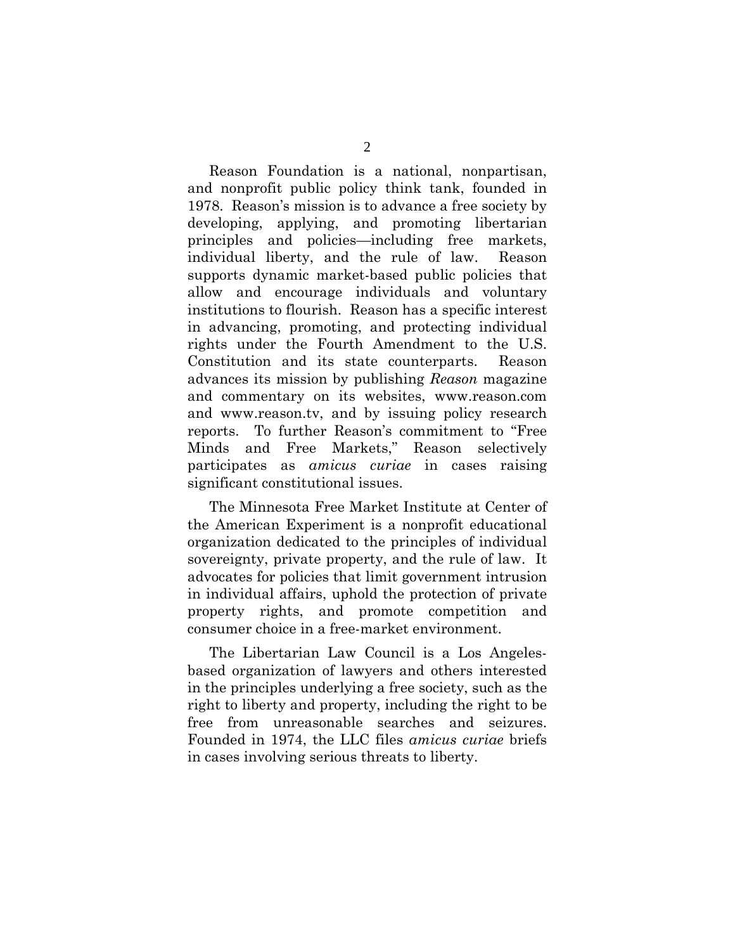Reason Foundation is a national, nonpartisan, and nonprofit public policy think tank, founded in 1978. Reason's mission is to advance a free society by developing, applying, and promoting libertarian principles and policies—including free markets, individual liberty, and the rule of law. Reason supports dynamic market-based public policies that allow and encourage individuals and voluntary institutions to flourish. Reason has a specific interest in advancing, promoting, and protecting individual rights under the Fourth Amendment to the U.S. Constitution and its state counterparts. Reason advances its mission by publishing *Reason* magazine and commentary on its websites, www.reason.com and www.reason.tv, and by issuing policy research reports. To further Reason's commitment to "Free Minds and Free Markets," Reason selectively participates as *amicus curiae* in cases raising significant constitutional issues.

The Minnesota Free Market Institute at Center of the American Experiment is a nonprofit educational organization dedicated to the principles of individual sovereignty, private property, and the rule of law. It advocates for policies that limit government intrusion in individual affairs, uphold the protection of private property rights, and promote competition and consumer choice in a free-market environment.

The Libertarian Law Council is a Los Angelesbased organization of lawyers and others interested in the principles underlying a free society, such as the right to liberty and property, including the right to be free from unreasonable searches and seizures. Founded in 1974, the LLC files *amicus curiae* briefs in cases involving serious threats to liberty.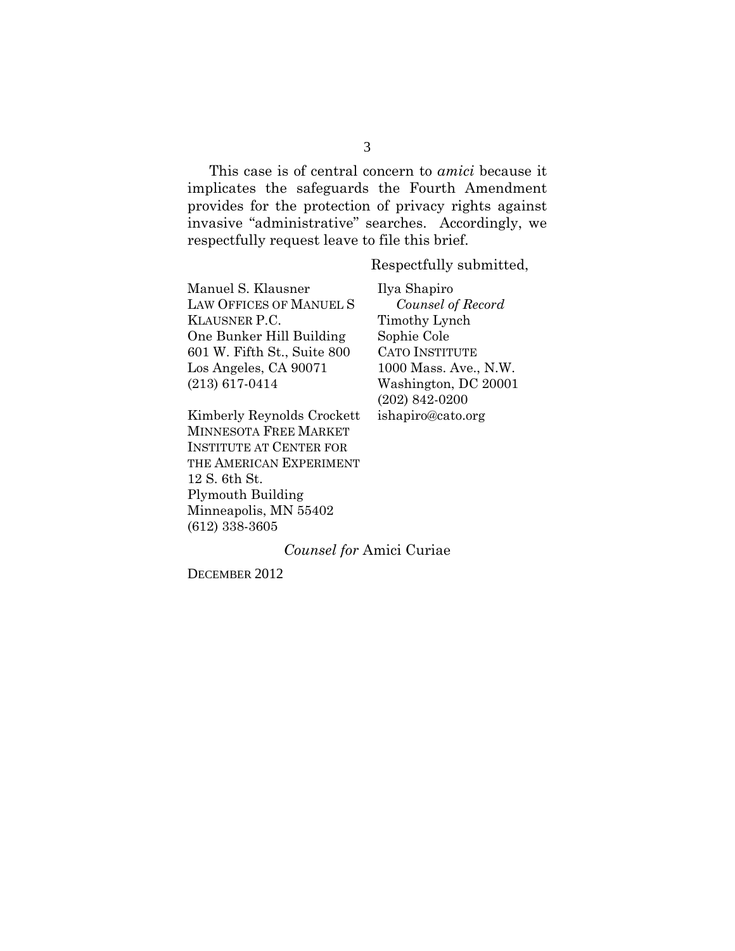This case is of central concern to *amici* because it implicates the safeguards the Fourth Amendment provides for the protection of privacy rights against invasive "administrative" searches. Accordingly, we respectfully request leave to file this brief.

Respectfully submitted,

Manuel S. Klausner LAW OFFICES OF MANUEL S KLAUSNER P.C. One Bunker Hill Building 601 W. Fifth St., Suite 800 Los Angeles, CA 90071 (213) 617-0414

Kimberly Reynolds Crockett MINNESOTA FREE MARKET INSTITUTE AT CENTER FOR THE AMERICAN EXPERIMENT 12 S. 6th St. Plymouth Building Minneapolis, MN 55402 (612) 338-3605

Ilya Shapiro  *Counsel of Record*  Timothy Lynch Sophie Cole CATO INSTITUTE 1000 Mass. Ave., N.W. Washington, DC 20001 (202) 842-0200 ishapiro@cato.org

#### *Counsel for* Amici Curiae

DECEMBER 2012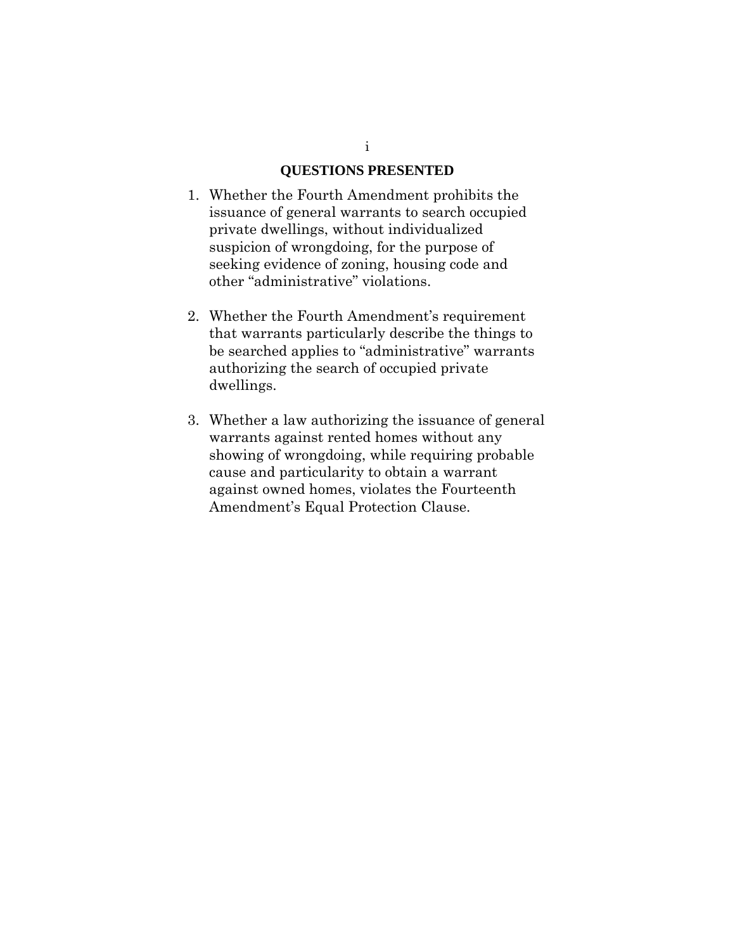#### **QUESTIONS PRESENTED**

- 1. Whether the Fourth Amendment prohibits the issuance of general warrants to search occupied private dwellings, without individualized suspicion of wrongdoing, for the purpose of seeking evidence of zoning, housing code and other "administrative" violations.
- 2. Whether the Fourth Amendment's requirement that warrants particularly describe the things to be searched applies to "administrative" warrants authorizing the search of occupied private dwellings.
- 3. Whether a law authorizing the issuance of general warrants against rented homes without any showing of wrongdoing, while requiring probable cause and particularity to obtain a warrant against owned homes, violates the Fourteenth Amendment's Equal Protection Clause.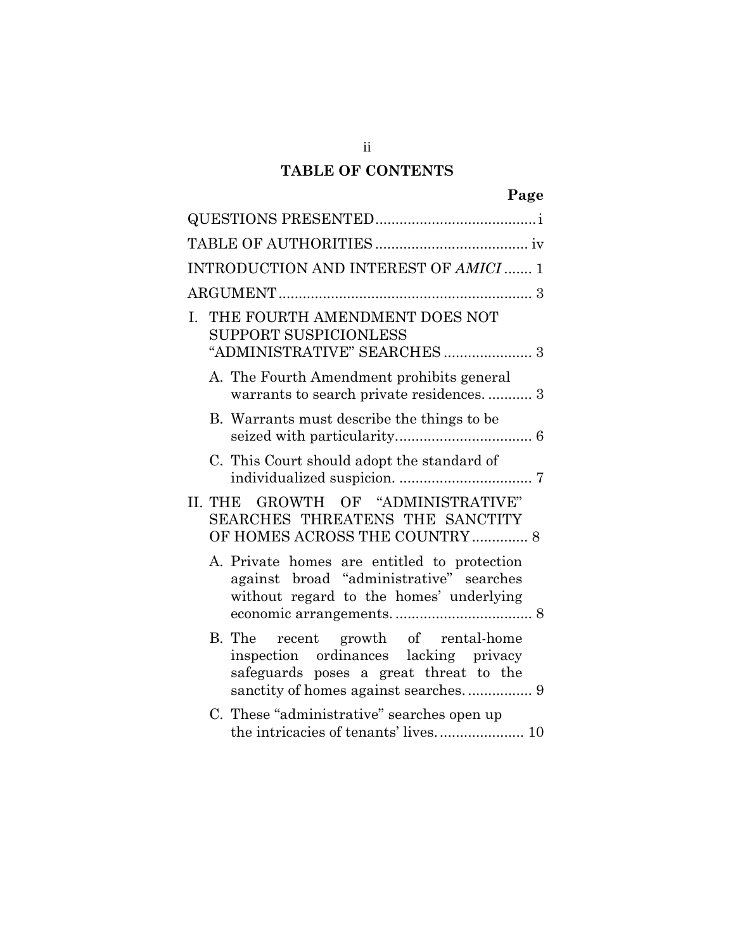# **TABLE OF CONTENTS**

| INTRODUCTION AND INTEREST OF AMICI  1                                                                                                                          |
|----------------------------------------------------------------------------------------------------------------------------------------------------------------|
|                                                                                                                                                                |
| THE FOURTH AMENDMENT DOES NOT<br>L.<br><b>SUPPORT SUSPICIONLESS</b>                                                                                            |
| A. The Fourth Amendment prohibits general<br>warrants to search private residences 3                                                                           |
| B. Warrants must describe the things to be.                                                                                                                    |
| C. This Court should adopt the standard of                                                                                                                     |
| II. THE GROWTH OF "ADMINISTRATIVE"<br>SEARCHES THREATENS THE SANCTITY<br>OF HOMES ACROSS THE COUNTRY  8                                                        |
| A. Private homes are entitled to protection<br>against broad "administrative" searches<br>without regard to the homes' underlying                              |
| B. The recent growth of rental-home<br>inspection ordinances lacking privacy<br>safeguards poses a great threat to the<br>sanctity of homes against searches 9 |
| C. These "administrative" searches open up<br>the intricacies of tenants' lives 10                                                                             |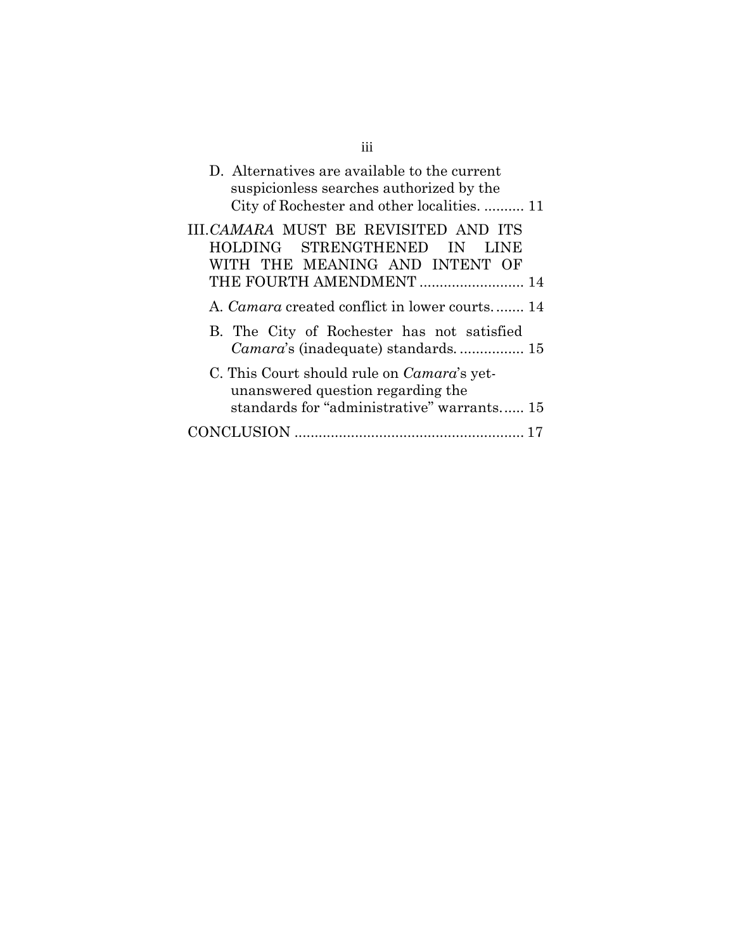| D. Alternatives are available to the current<br>suspicionless searches authorized by the<br>City of Rochester and other localities.  11  |
|------------------------------------------------------------------------------------------------------------------------------------------|
| III.CAMARA MUST BE REVISITED AND ITS<br>HOLDING STRENGTHENED<br>IN<br>LINE<br>WITH THE MEANING AND INTENT OF<br>THE FOURTH AMENDMENT  14 |
| A. <i>Camara</i> created conflict in lower courts 14                                                                                     |
| B. The City of Rochester has not satisfied<br><i>Camara's</i> (inadequate) standards 15                                                  |
| C. This Court should rule on <i>Camara</i> 's yet-<br>unanswered question regarding the<br>standards for "administrative" warrants 15    |
| CONCLUSION                                                                                                                               |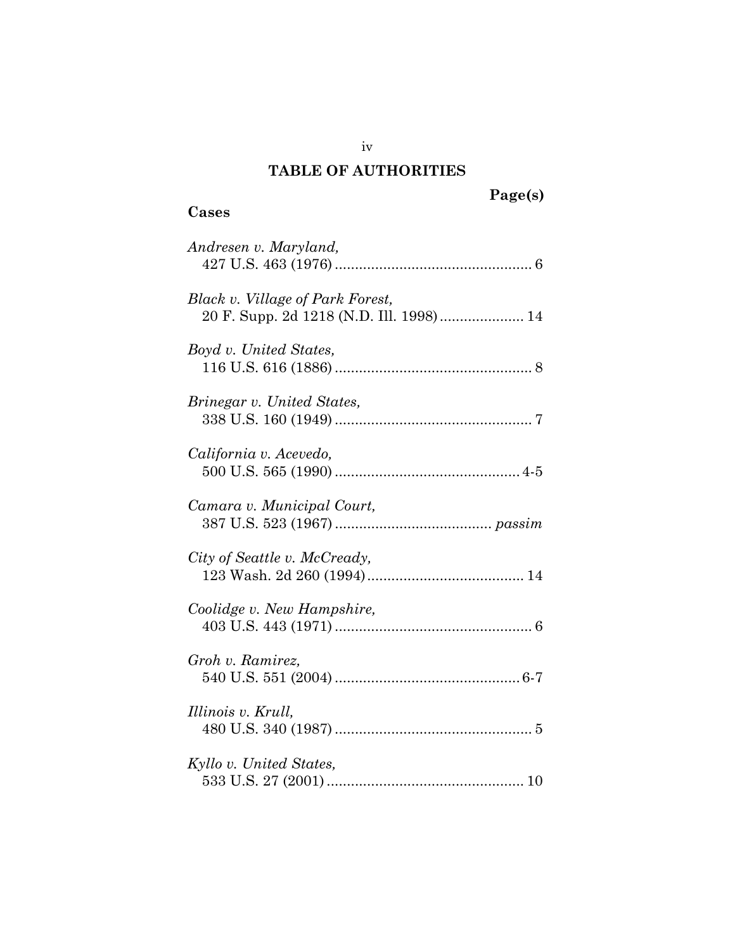# **TABLE OF AUTHORITIES**

# <span id="page-7-0"></span>**Cases**

| Andresen v. Maryland,                                                       |
|-----------------------------------------------------------------------------|
| Black v. Village of Park Forest,<br>20 F. Supp. 2d 1218 (N.D. Ill. 1998) 14 |
| Boyd v. United States,                                                      |
| Brinegar v. United States,                                                  |
| California v. Acevedo,                                                      |
| Camara v. Municipal Court,                                                  |
| City of Seattle v. McCready,                                                |
| Coolidge v. New Hampshire,                                                  |
| Groh v. Ramirez,                                                            |
| Illinois v. Krull,                                                          |
| Kyllo v. United States,                                                     |

iv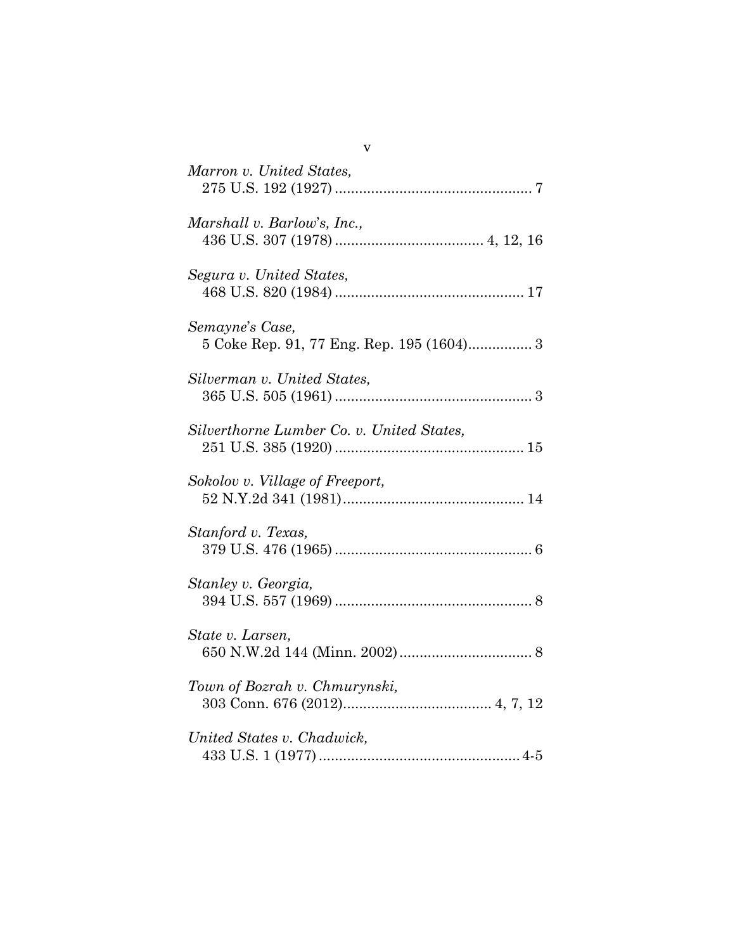| Marron v. United States,                                     |
|--------------------------------------------------------------|
| Marshall v. Barlow's, Inc.,                                  |
| Segura v. United States,                                     |
| Semayne's Case,<br>5 Coke Rep. 91, 77 Eng. Rep. 195 (1604) 3 |
| Silverman v. United States,                                  |
| Silverthorne Lumber Co. v. United States,                    |
| Sokolov v. Village of Freeport,                              |
| Stanford v. Texas,                                           |
| Stanley v. Georgia,                                          |
| State v. Larsen,                                             |
| Town of Bozrah v. Chmurynski,                                |
| United States v. Chadwick,                                   |

v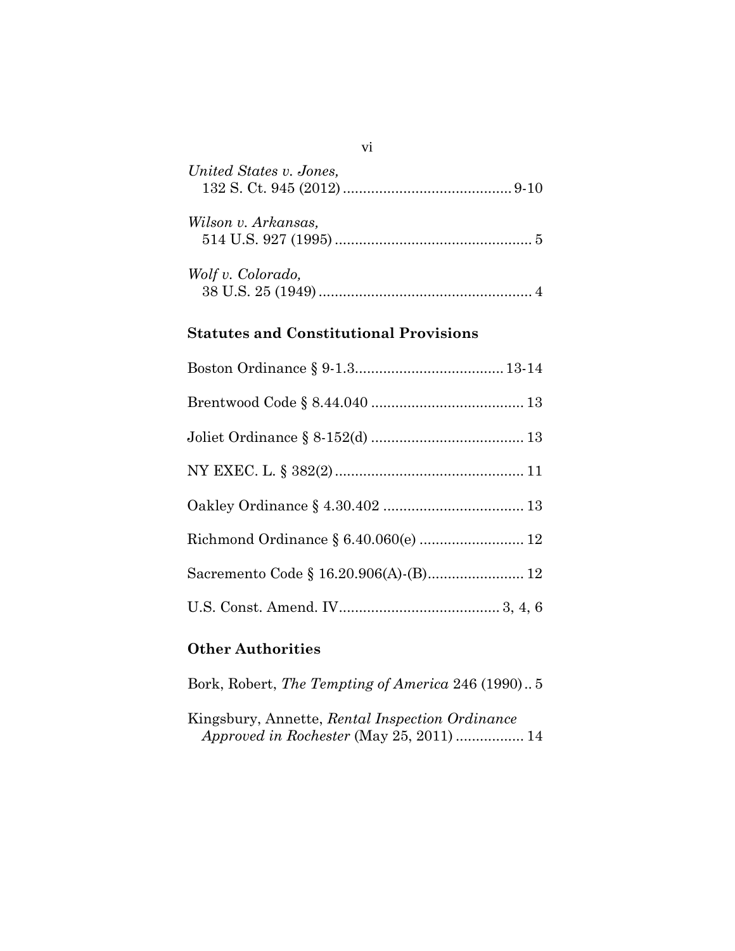| United States v. Jones, |  |
|-------------------------|--|
| Wilson v. Arkansas,     |  |
| Wolf v. Colorado,       |  |

# **Statutes and Constitutional Provisions**

| Richmond Ordinance § 6.40.060(e)  12 |
|--------------------------------------|
|                                      |
|                                      |

# **Other Authorities**

Bork, Robert, *The Tempting of America* 246 (1990).. 5

Kingsbury, Annette, *Rental Inspection Ordinance Approved in Rochester* (May 25, 2011) ................. 14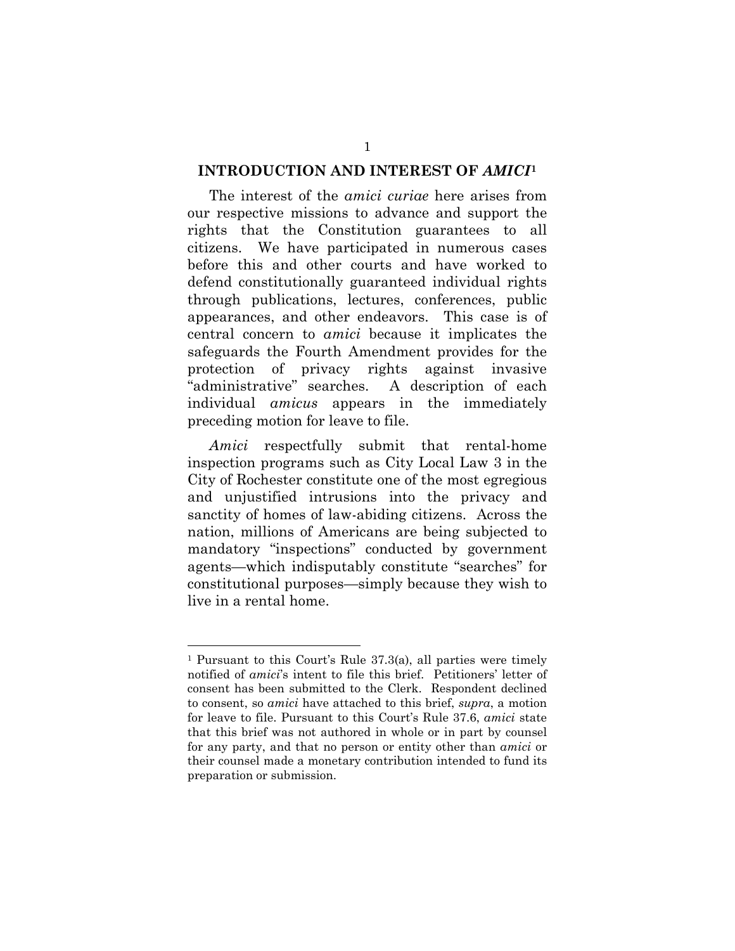#### **INTRODUCTION AND INTEREST OF** *AMICI***[1](#page-10-0)**

The interest of the *amici curiae* here arises from our respective missions to advance and support the rights that the Constitution guarantees to all citizens. We have participated in numerous cases before this and other courts and have worked to defend constitutionally guaranteed individual rights through publications, lectures, conferences, public appearances, and other endeavors. This case is of central concern to *amici* because it implicates the safeguards the Fourth Amendment provides for the protection of privacy rights against invasive "administrative" searches. A description of each individual *amicus* appears in the immediately preceding motion for leave to file.

*Amici* respectfully submit that rental-home inspection programs such as City Local Law 3 in the City of Rochester constitute one of the most egregious and unjustified intrusions into the privacy and sanctity of homes of law-abiding citizens. Across the nation, millions of Americans are being subjected to mandatory "inspections" conducted by government agents—which indisputably constitute "searches" for constitutional purposes—simply because they wish to live in a rental home.

 $\overline{a}$ 

<span id="page-10-0"></span><sup>1</sup> Pursuant to this Court's Rule 37.3(a), all parties were timely notified of *amici*'s intent to file this brief. Petitioners' letter of consent has been submitted to the Clerk. Respondent declined to consent, so *amici* have attached to this brief, *supra*, a motion for leave to file. Pursuant to this Court's Rule 37.6, *amici* state that this brief was not authored in whole or in part by counsel for any party, and that no person or entity other than *amici* or their counsel made a monetary contribution intended to fund its preparation or submission.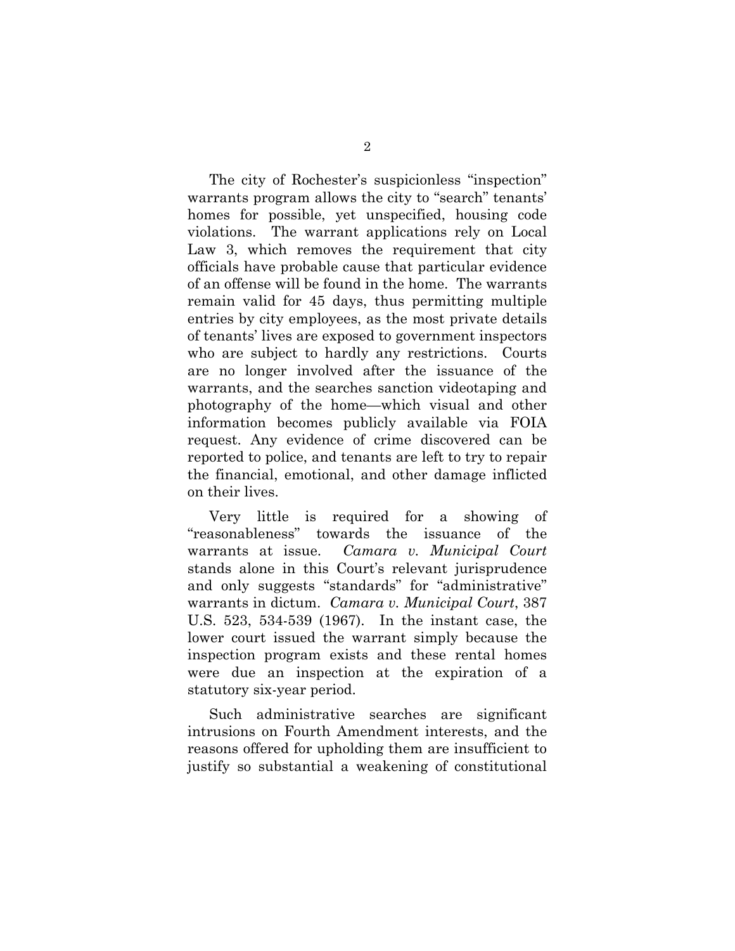The city of Rochester's suspicionless "inspection" warrants program allows the city to "search" tenants' homes for possible, yet unspecified, housing code violations. The warrant applications rely on Local Law 3, which removes the requirement that city officials have probable cause that particular evidence of an offense will be found in the home. The warrants remain valid for 45 days, thus permitting multiple entries by city employees, as the most private details of tenants' lives are exposed to government inspectors who are subject to hardly any restrictions. Courts are no longer involved after the issuance of the warrants, and the searches sanction videotaping and photography of the home—which visual and other information becomes publicly available via FOIA request. Any evidence of crime discovered can be reported to police, and tenants are left to try to repair the financial, emotional, and other damage inflicted on their lives.

Very little is required for a showing of "reasonableness" towards the issuance of the warrants at issue. *Camara v. Municipal Court* stands alone in this Court's relevant jurisprudence and only suggests "standards" for "administrative" warrants in dictum. *Camara v. Municipal Court*, 387 U.S. 523, 534-539 (1967). In the instant case, the lower court issued the warrant simply because the inspection program exists and these rental homes were due an inspection at the expiration of a statutory six-year period.

Such administrative searches are significant intrusions on Fourth Amendment interests, and the reasons offered for upholding them are insufficient to justify so substantial a weakening of constitutional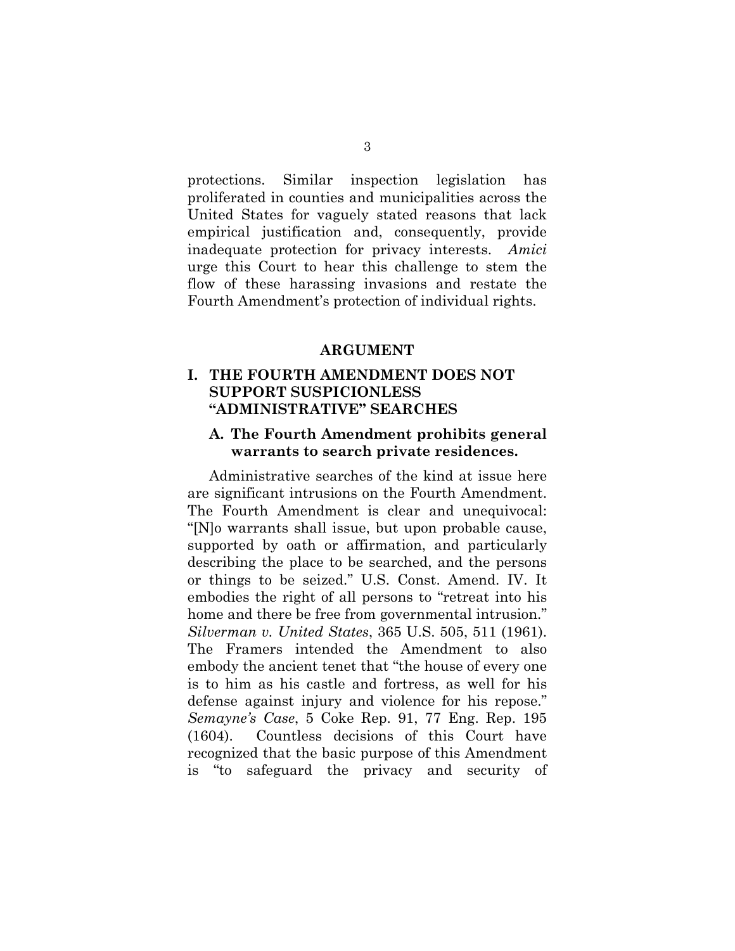protections. Similar inspection legislation has proliferated in counties and municipalities across the United States for vaguely stated reasons that lack empirical justification and, consequently, provide inadequate protection for privacy interests. *Amici* urge this Court to hear this challenge to stem the flow of these harassing invasions and restate the Fourth Amendment's protection of individual rights.

#### **ARGUMENT**

## **I. THE FOURTH AMENDMENT DOES NOT SUPPORT SUSPICIONLESS "ADMINISTRATIVE" SEARCHES**

### **A. The Fourth Amendment prohibits general warrants to search private residences.**

Administrative searches of the kind at issue here are significant intrusions on the Fourth Amendment. The Fourth Amendment is clear and unequivocal: "[N]o warrants shall issue, but upon probable cause, supported by oath or affirmation, and particularly describing the place to be searched, and the persons or things to be seized." U.S. Const. Amend. IV. It embodies the right of all persons to "retreat into his home and there be free from governmental intrusion." *Silverman v. United States*, 365 U.S. 505, 511 (1961). The Framers intended the Amendment to also embody the ancient tenet that "the house of every one is to him as his castle and fortress, as well for his defense against injury and violence for his repose." *Semayne's Case*, 5 Coke Rep. 91, 77 Eng. Rep. 195 (1604). Countless decisions of this Court have recognized that the basic purpose of this Amendment is "to safeguard the privacy and security of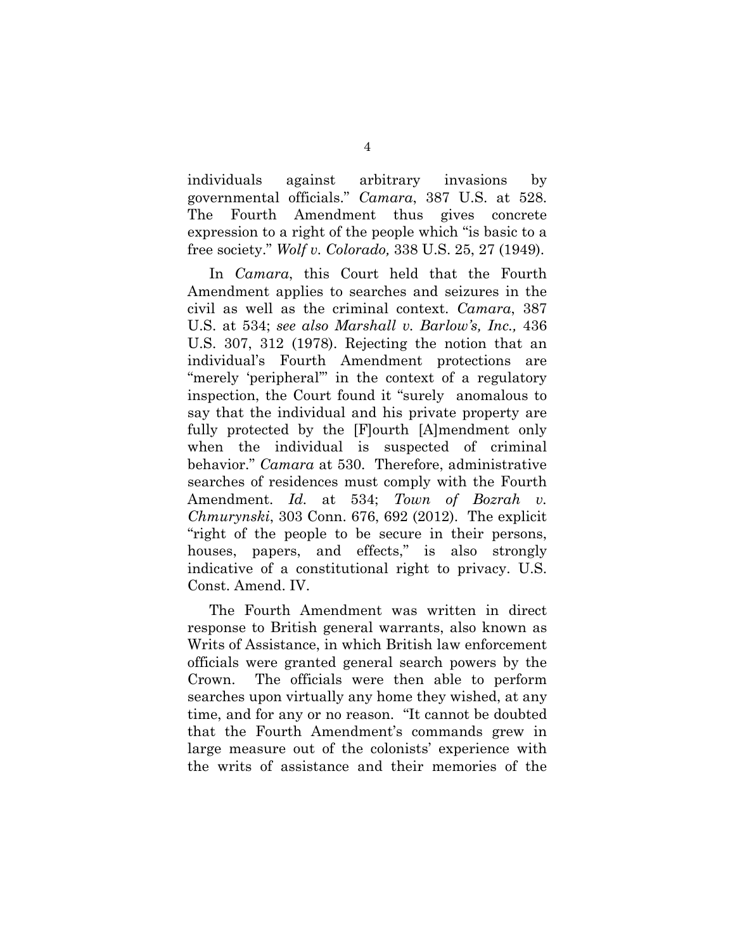individuals against arbitrary invasions by governmental officials." *Camara*, 387 U.S. at 528. The Fourth Amendment thus gives concrete expression to a right of the people which "is basic to a free society." *Wolf v. Colorado,* 338 U.S. 25, 27 (1949).

In *Camara*, this Court held that the Fourth Amendment applies to searches and seizures in the civil as well as the criminal context. *Camara*, 387 U.S. at 534; *see also Marshall v. Barlow's, Inc.,* 436 U.S. 307, 312 (1978). Rejecting the notion that an individual's Fourth Amendment protections are "merely 'peripheral'" in the context of a regulatory inspection, the Court found it "surely anomalous to say that the individual and his private property are fully protected by the [F]ourth [A]mendment only when the individual is suspected of criminal behavior." *Camara* at 530. Therefore, administrative searches of residences must comply with the Fourth Amendment. *Id.* at 534; *Town of Bozrah v. Chmurynski*, 303 Conn. 676, 692 (2012). The explicit "right of the people to be secure in their persons, houses, papers, and effects," is also strongly indicative of a constitutional right to privacy. U.S. Const. Amend. IV.

The Fourth Amendment was written in direct response to British general warrants, also known as Writs of Assistance, in which British law enforcement officials were granted general search powers by the Crown. The officials were then able to perform searches upon virtually any home they wished, at any time, and for any or no reason. "It cannot be doubted that the Fourth Amendment's commands grew in large measure out of the colonists' experience with the writs of assistance and their memories of the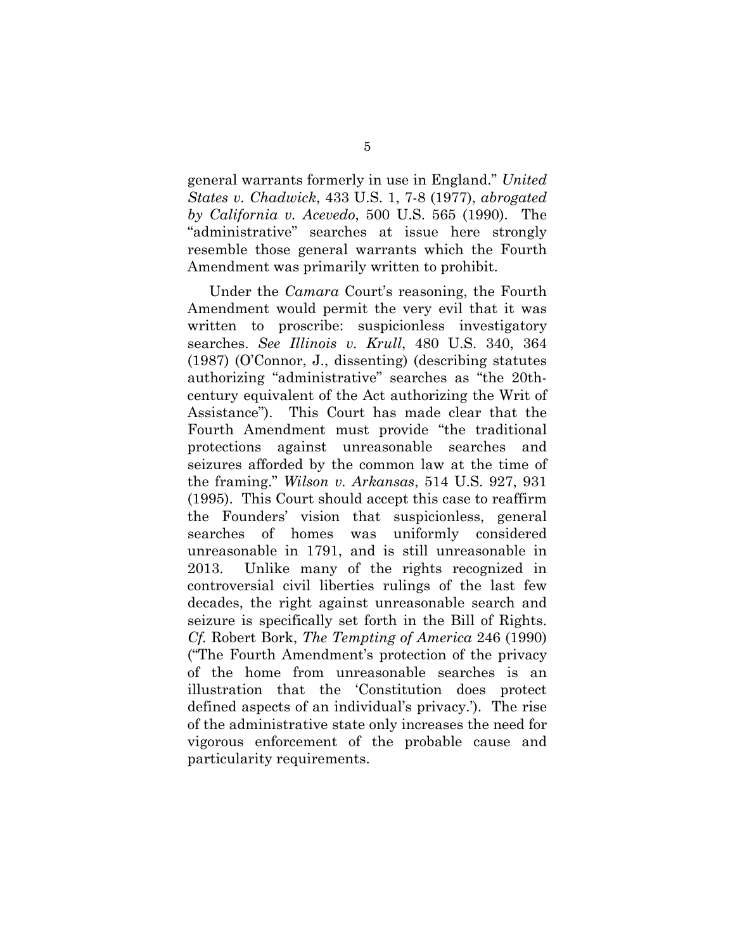general warrants formerly in use in England." *United States v. Chadwick*, 433 U.S. 1, 7-8 (1977), *abrogated by California v. Acevedo*, 500 U.S. 565 (1990). The "administrative" searches at issue here strongly resemble those general warrants which the Fourth Amendment was primarily written to prohibit.

Under the *Camara* Court's reasoning, the Fourth Amendment would permit the very evil that it was written to proscribe: suspicionless investigatory searches. *See Illinois v. Krull*, 480 U.S. 340, 364 (1987) (O'Connor, J., dissenting) (describing statutes authorizing "administrative" searches as "the 20thcentury equivalent of the Act authorizing the Writ of Assistance"). This Court has made clear that the Fourth Amendment must provide "the traditional protections against unreasonable searches and seizures afforded by the common law at the time of the framing." *Wilson v. Arkansas*, 514 U.S. 927, 931 (1995). This Court should accept this case to reaffirm the Founders' vision that suspicionless, general searches of homes was uniformly considered unreasonable in 1791, and is still unreasonable in 2013. Unlike many of the rights recognized in controversial civil liberties rulings of the last few decades, the right against unreasonable search and seizure is specifically set forth in the Bill of Rights. *Cf.* Robert Bork, *The Tempting of America* 246 (1990) ("The Fourth Amendment's protection of the privacy of the home from unreasonable searches is an illustration that the 'Constitution does protect defined aspects of an individual's privacy.'). The rise of the administrative state only increases the need for vigorous enforcement of the probable cause and particularity requirements.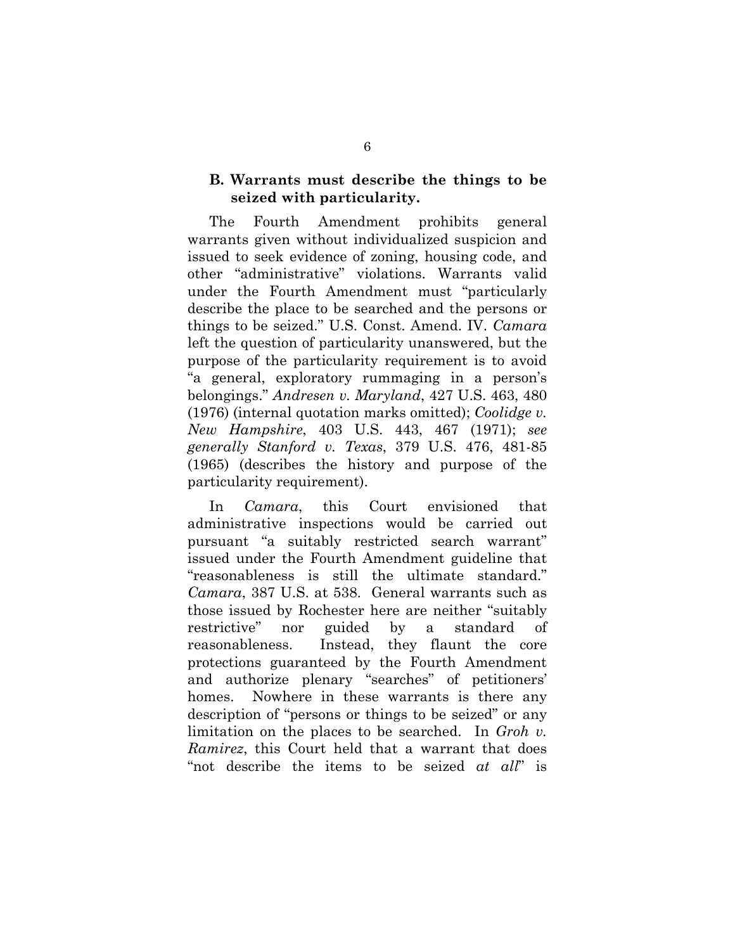### **B. Warrants must describe the things to be seized with particularity.**

The Fourth Amendment prohibits general warrants given without individualized suspicion and issued to seek evidence of zoning, housing code, and other "administrative" violations. Warrants valid under the Fourth Amendment must "particularly describe the place to be searched and the persons or things to be seized." U.S. Const. Amend. IV. *Camara* left the question of particularity unanswered, but the purpose of the particularity requirement is to avoid "a general, exploratory rummaging in a person's belongings." *Andresen v. Maryland*, 427 U.S. 463, 480 (1976) (internal quotation marks omitted); *Coolidge v. New Hampshire*, 403 U.S. 443, 467 (1971); *see generally Stanford v. Texas*, 379 U.S. 476, 481-85 (1965) (describes the history and purpose of the particularity requirement).

In *Camara*, this Court envisioned that administrative inspections would be carried out pursuant "a suitably restricted search warrant" issued under the Fourth Amendment guideline that "reasonableness is still the ultimate standard." *Camara*, 387 U.S. at 538. General warrants such as those issued by Rochester here are neither "suitably restrictive" nor guided by a standard of reasonableness. Instead, they flaunt the core protections guaranteed by the Fourth Amendment and authorize plenary "searches" of petitioners' homes. Nowhere in these warrants is there any description of "persons or things to be seized" or any limitation on the places to be searched. In *Groh v. Ramirez*, this Court held that a warrant that does "not describe the items to be seized *at all*" is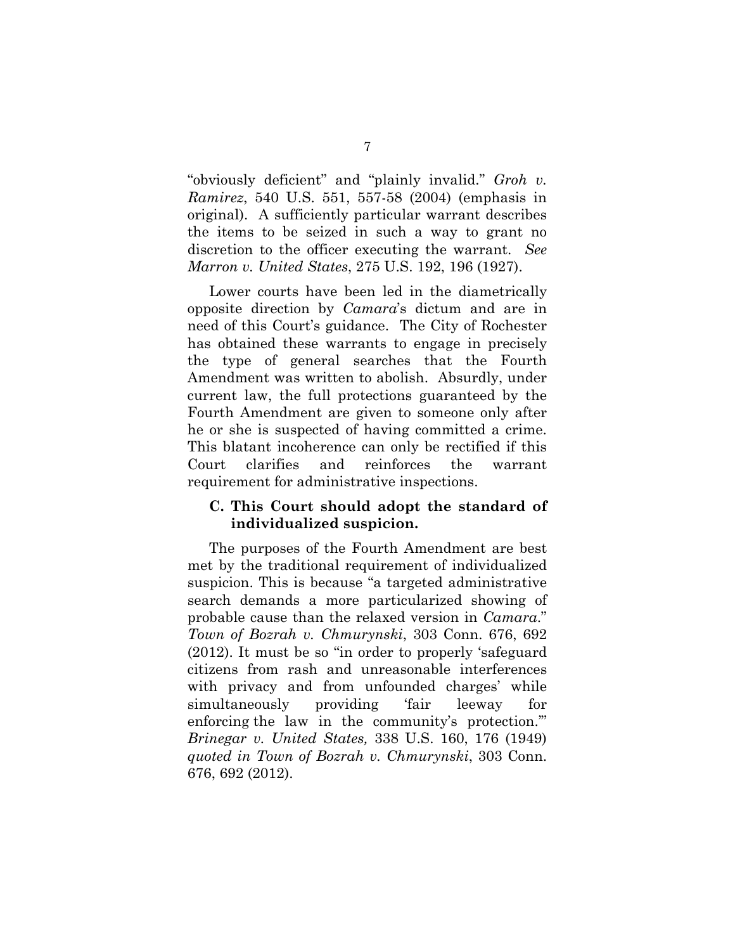"obviously deficient" and "plainly invalid." *Groh v. Ramirez*, 540 U.S. 551, 557-58 (2004) (emphasis in original). A sufficiently particular warrant describes the items to be seized in such a way to grant no discretion to the officer executing the warrant. *See Marron v. United States*, 275 U.S. 192, 196 (1927).

Lower courts have been led in the diametrically opposite direction by *Camara*'s dictum and are in need of this Court's guidance. The City of Rochester has obtained these warrants to engage in precisely the type of general searches that the Fourth Amendment was written to abolish. Absurdly, under current law, the full protections guaranteed by the Fourth Amendment are given to someone only after he or she is suspected of having committed a crime. This blatant incoherence can only be rectified if this Court clarifies and reinforces the warrant requirement for administrative inspections.

#### **C. This Court should adopt the standard of individualized suspicion.**

The purposes of the Fourth Amendment are best met by the traditional requirement of individualized suspicion. This is because "a targeted administrative search demands a more particularized showing of probable cause than the relaxed version in *Camara*." *Town of Bozrah v. Chmurynski*, 303 Conn. 676, 692 (2012). It must be so "in order to properly 'safeguard citizens from rash and unreasonable interferences with privacy and from unfounded charges' while simultaneously providing 'fair leeway for enforcing the law in the community's protection.'" *Brinegar v. United States,* 338 U.S. 160, 176 (1949) *quoted in Town of Bozrah v. Chmurynski*, 303 Conn. 676, 692 (2012).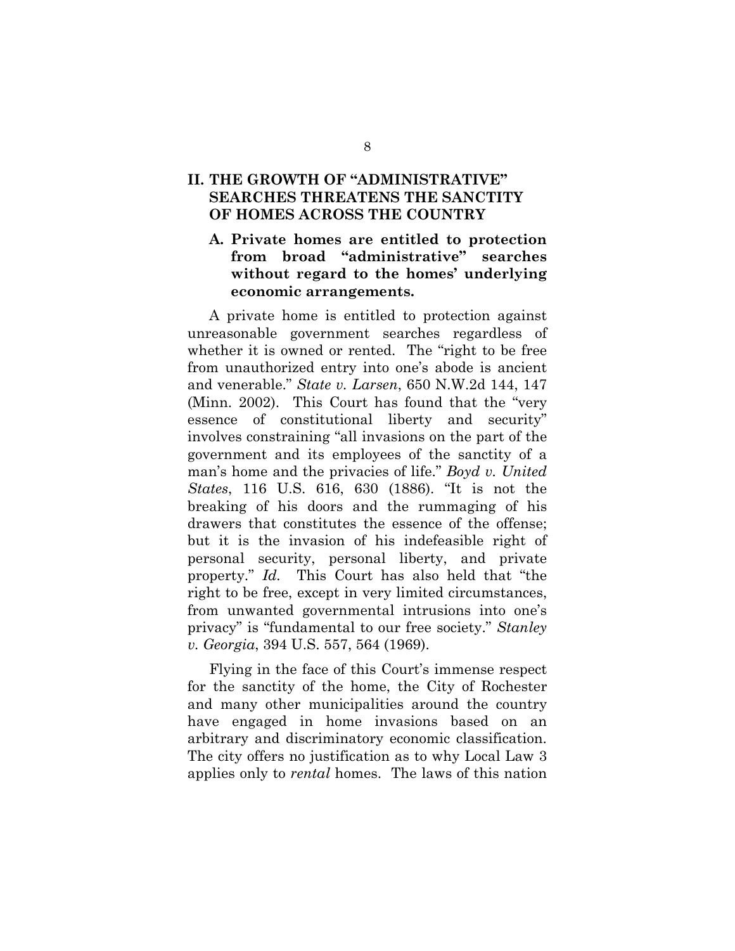# **II. THE GROWTH OF "ADMINISTRATIVE" SEARCHES THREATENS THE SANCTITY OF HOMES ACROSS THE COUNTRY**

## **A. Private homes are entitled to protection from broad "administrative" searches without regard to the homes' underlying economic arrangements.**

A private home is entitled to protection against unreasonable government searches regardless of whether it is owned or rented. The "right to be free from unauthorized entry into one's abode is ancient and venerable." *State v. Larsen*, 650 N.W.2d 144, 147 (Minn. 2002). This Court has found that the "very essence of constitutional liberty and security" involves constraining "all invasions on the part of the government and its employees of the sanctity of a man's home and the privacies of life." *Boyd v. United States*, 116 U.S. 616, 630 (1886). "It is not the breaking of his doors and the rummaging of his drawers that constitutes the essence of the offense; but it is the invasion of his indefeasible right of personal security, personal liberty, and private property." *Id.* This Court has also held that "the right to be free, except in very limited circumstances, from unwanted governmental intrusions into one's privacy" is "fundamental to our free society." *Stanley v. Georgia*, 394 U.S. 557, 564 (1969).

Flying in the face of this Court's immense respect for the sanctity of the home, the City of Rochester and many other municipalities around the country have engaged in home invasions based on an arbitrary and discriminatory economic classification. The city offers no justification as to why Local Law 3 applies only to *rental* homes. The laws of this nation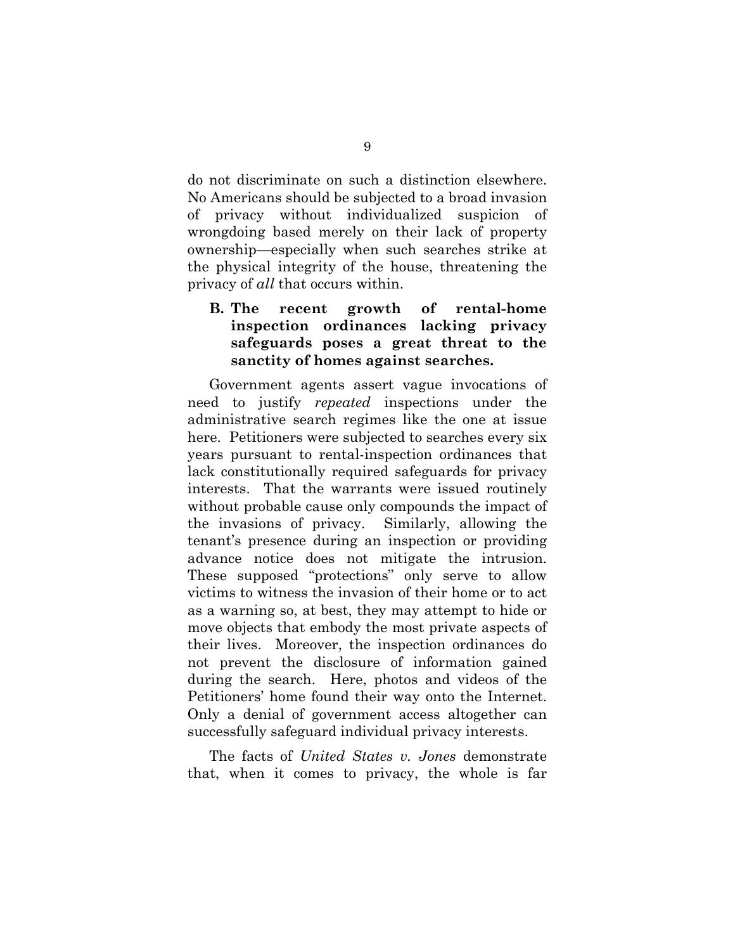do not discriminate on such a distinction elsewhere. No Americans should be subjected to a broad invasion of privacy without individualized suspicion of wrongdoing based merely on their lack of property ownership—especially when such searches strike at the physical integrity of the house, threatening the privacy of *all* that occurs within.

## **B. The recent growth of rental-home inspection ordinances lacking privacy safeguards poses a great threat to the sanctity of homes against searches.**

Government agents assert vague invocations of need to justify *repeated* inspections under the administrative search regimes like the one at issue here. Petitioners were subjected to searches every six years pursuant to rental-inspection ordinances that lack constitutionally required safeguards for privacy interests. That the warrants were issued routinely without probable cause only compounds the impact of the invasions of privacy. Similarly, allowing the tenant's presence during an inspection or providing advance notice does not mitigate the intrusion. These supposed "protections" only serve to allow victims to witness the invasion of their home or to act as a warning so, at best, they may attempt to hide or move objects that embody the most private aspects of their lives. Moreover, the inspection ordinances do not prevent the disclosure of information gained during the search. Here, photos and videos of the Petitioners' home found their way onto the Internet. Only a denial of government access altogether can successfully safeguard individual privacy interests.

The facts of *United States v. Jones* demonstrate that, when it comes to privacy, the whole is far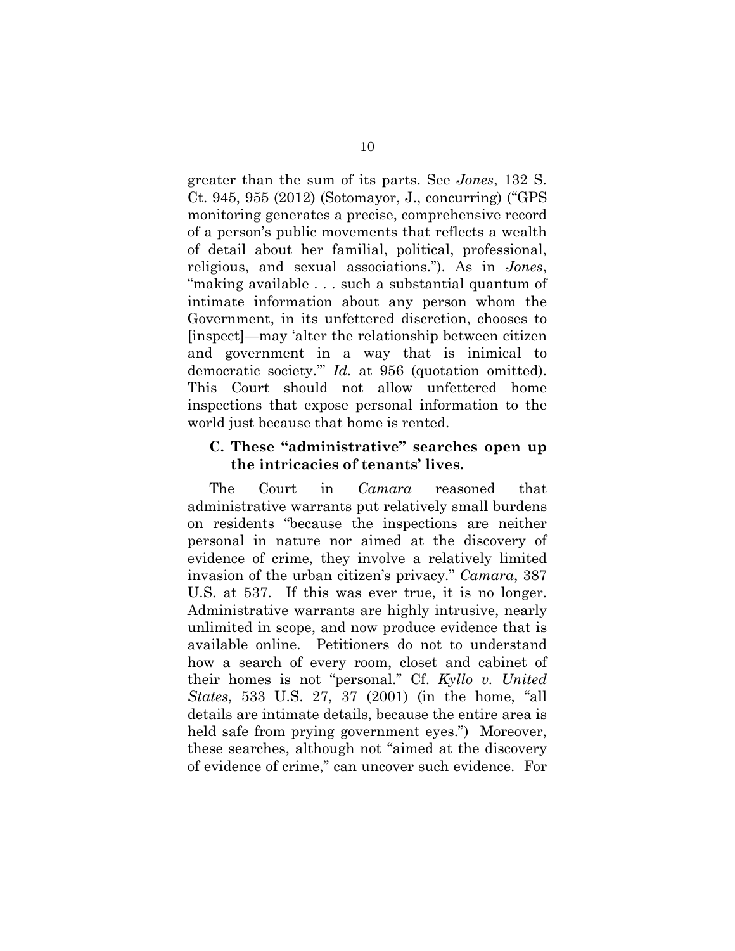greater than the sum of its parts. See *Jones*, 132 S. Ct. 945, 955 (2012) (Sotomayor, J., concurring) ("GPS monitoring generates a precise, comprehensive record of a person's public movements that reflects a wealth of detail about her familial, political, professional, religious, and sexual associations."). As in *Jones*, "making available . . . such a substantial quantum of intimate information about any person whom the Government, in its unfettered discretion, chooses to [inspect]—may 'alter the relationship between citizen and government in a way that is inimical to democratic society.'" *Id.* at 956 (quotation omitted). This Court should not allow unfettered home inspections that expose personal information to the world just because that home is rented.

#### **C. These "administrative" searches open up the intricacies of tenants' lives.**

The Court in *Camara* reasoned that administrative warrants put relatively small burdens on residents "because the inspections are neither personal in nature nor aimed at the discovery of evidence of crime, they involve a relatively limited invasion of the urban citizen's privacy." *Camara*, 387 U.S. at 537. If this was ever true, it is no longer. Administrative warrants are highly intrusive, nearly unlimited in scope, and now produce evidence that is available online. Petitioners do not to understand how a search of every room, closet and cabinet of their homes is not "personal." Cf. *Kyllo v. United States*, 533 U.S. 27, 37 (2001) (in the home, "all details are intimate details, because the entire area is held safe from prying government eyes.") Moreover, these searches, although not "aimed at the discovery of evidence of crime," can uncover such evidence. For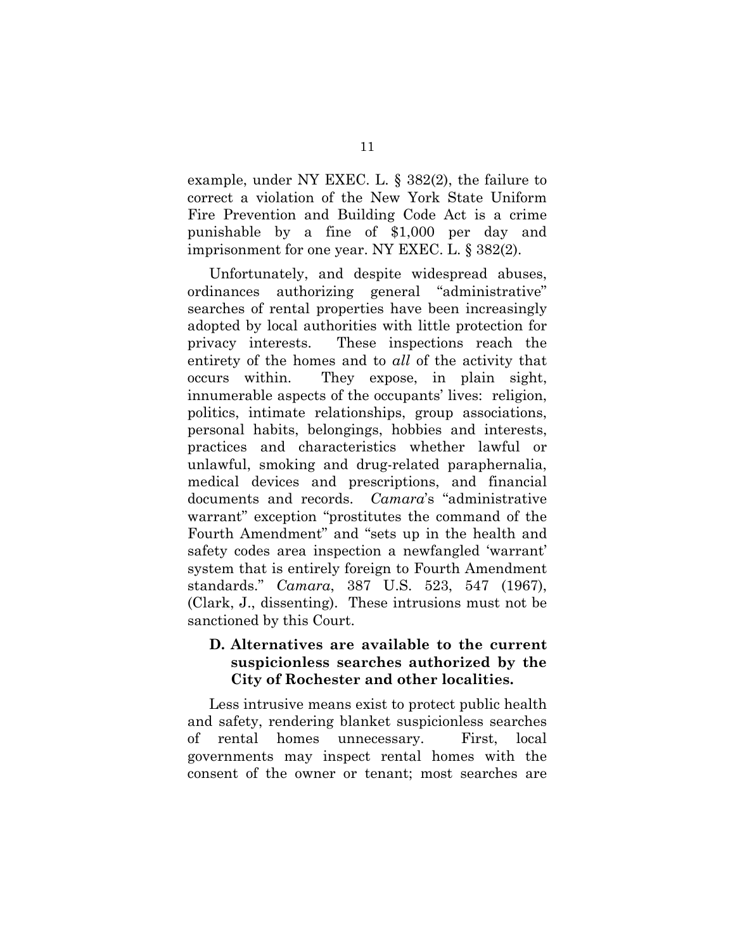example, under NY EXEC. L. § 382(2), the failure to correct a violation of the New York State Uniform Fire Prevention and Building Code Act is a crime punishable by a fine of \$1,000 per day and imprisonment for one year. NY EXEC. L. § 382(2).

Unfortunately, and despite widespread abuses, ordinances authorizing general "administrative" searches of rental properties have been increasingly adopted by local authorities with little protection for privacy interests. These inspections reach the entirety of the homes and to *all* of the activity that occurs within. They expose, in plain sight, innumerable aspects of the occupants' lives: religion, politics, intimate relationships, group associations, personal habits, belongings, hobbies and interests, practices and characteristics whether lawful or unlawful, smoking and drug-related paraphernalia, medical devices and prescriptions, and financial documents and records. *Camara*'s "administrative warrant" exception "prostitutes the command of the Fourth Amendment" and "sets up in the health and safety codes area inspection a newfangled 'warrant' system that is entirely foreign to Fourth Amendment standards." *Camara*, 387 U.S. 523, 547 (1967), (Clark, J., dissenting). These intrusions must not be sanctioned by this Court.

## **D. Alternatives are available to the current suspicionless searches authorized by the City of Rochester and other localities.**

Less intrusive means exist to protect public health and safety, rendering blanket suspicionless searches of rental homes unnecessary. First, local governments may inspect rental homes with the consent of the owner or tenant; most searches are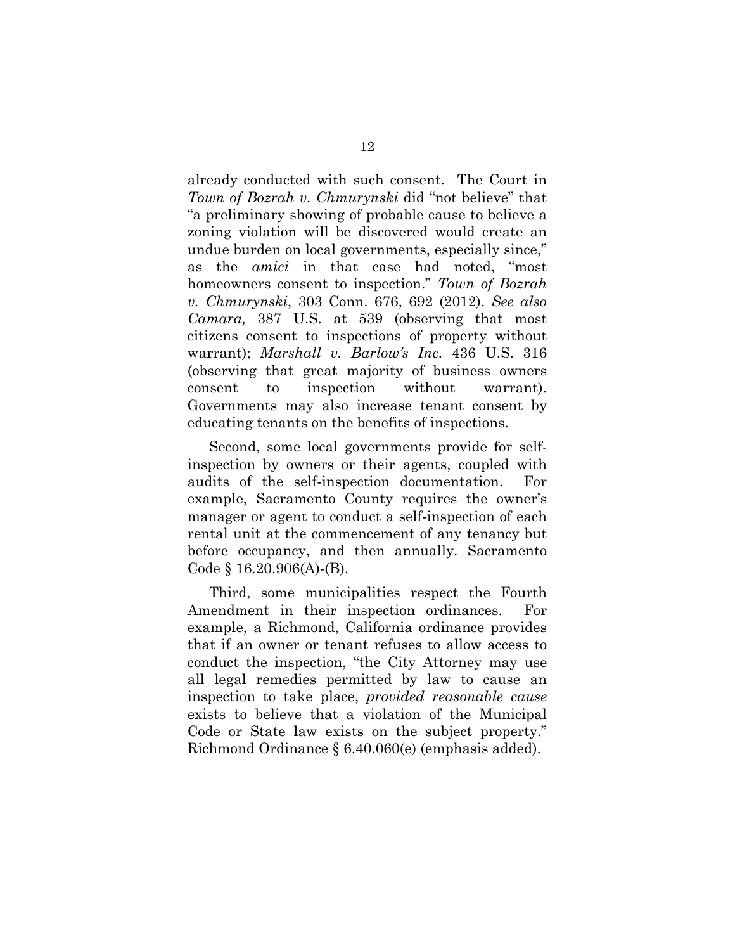already conducted with such consent. The Court in *Town of Bozrah v. Chmurynski* did "not believe" that "a preliminary showing of probable cause to believe a zoning violation will be discovered would create an undue burden on local governments, especially since," as the *amici* in that case had noted, "most homeowners consent to inspection." *Town of Bozrah v. Chmurynski*, 303 Conn. 676, 692 (2012). *See also Camara,* 387 U.S. at 539 (observing that most citizens consent to inspections of property without warrant); *Marshall v. Barlow's Inc.* 436 U.S. 316 (observing that great majority of business owners consent to inspection without warrant). Governments may also increase tenant consent by educating tenants on the benefits of inspections.

Second, some local governments provide for selfinspection by owners or their agents, coupled with audits of the self-inspection documentation. For example, Sacramento County requires the owner's manager or agent to conduct a self-inspection of each rental unit at the commencement of any tenancy but before occupancy, and then annually. Sacramento Code § 16.20.906(A)-(B).

Third, some municipalities respect the Fourth Amendment in their inspection ordinances. For example, a Richmond, California ordinance provides that if an owner or tenant refuses to allow access to conduct the inspection, "the City Attorney may use all legal remedies permitted by law to cause an inspection to take place, *provided reasonable cause*  exists to believe that a violation of the Municipal Code or State law exists on the subject property." Richmond Ordinance § 6.40.060(e) (emphasis added).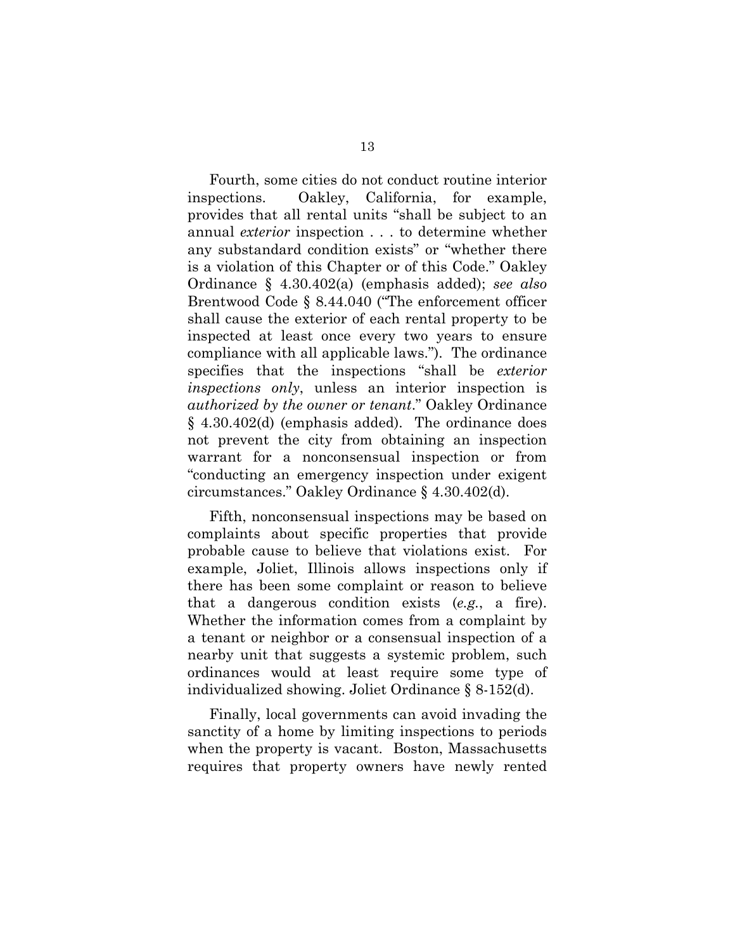Fourth, some cities do not conduct routine interior inspections. Oakley, California, for example, provides that all rental units "shall be subject to an annual *exterior* inspection . . . to determine whether any substandard condition exists" or "whether there is a violation of this Chapter or of this Code." Oakley Ordinance § 4.30.402(a) (emphasis added); *see also*  Brentwood Code § 8.44.040 ("The enforcement officer shall cause the exterior of each rental property to be inspected at least once every two years to ensure compliance with all applicable laws."). The ordinance specifies that the inspections "shall be *exterior inspections only*, unless an interior inspection is *authorized by the owner or tenant*." Oakley Ordinance § 4.30.402(d) (emphasis added). The ordinance does not prevent the city from obtaining an inspection warrant for a nonconsensual inspection or from "conducting an emergency inspection under exigent circumstances." Oakley Ordinance § 4.30.402(d).

Fifth, nonconsensual inspections may be based on complaints about specific properties that provide probable cause to believe that violations exist. For example, Joliet, Illinois allows inspections only if there has been some complaint or reason to believe that a dangerous condition exists (*e.g.*, a fire). Whether the information comes from a complaint by a tenant or neighbor or a consensual inspection of a nearby unit that suggests a systemic problem, such ordinances would at least require some type of individualized showing. Joliet Ordinance § 8-152(d).

Finally, local governments can avoid invading the sanctity of a home by limiting inspections to periods when the property is vacant. Boston, Massachusetts requires that property owners have newly rented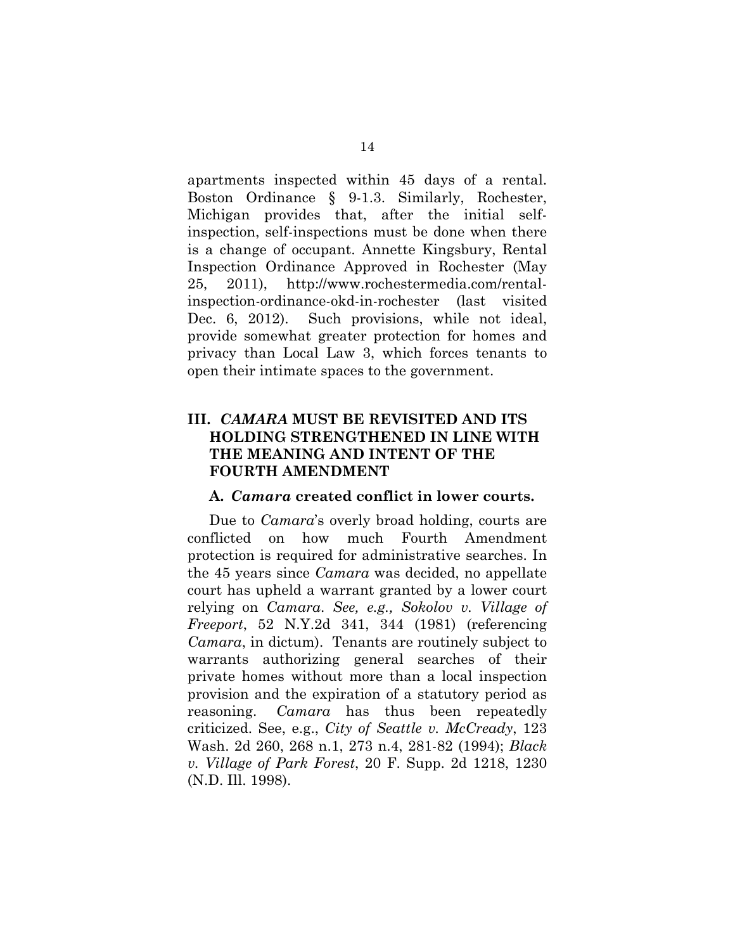apartments inspected within 45 days of a rental. Boston Ordinance § 9-1.3. Similarly, Rochester, Michigan provides that, after the initial selfinspection, self-inspections must be done when there is a change of occupant. Annette Kingsbury, Rental Inspection Ordinance Approved in Rochester (May 25, 2011), http://www.rochestermedia.com/rentalinspection-ordinance-okd-in-rochester (last visited Dec. 6, 2012). Such provisions, while not ideal, provide somewhat greater protection for homes and privacy than Local Law 3, which forces tenants to open their intimate spaces to the government.

# **III.** *CAMARA* **MUST BE REVISITED AND ITS HOLDING STRENGTHENED IN LINE WITH THE MEANING AND INTENT OF THE FOURTH AMENDMENT**

#### **A.** *Camara* **created conflict in lower courts.**

Due to *Camara*'s overly broad holding, courts are conflicted on how much Fourth Amendment protection is required for administrative searches. In the 45 years since *Camara* was decided, no appellate court has upheld a warrant granted by a lower court relying on *Camara*. *See, e.g., Sokolov v. Village of Freeport*, 52 N.Y.2d 341, 344 (1981) (referencing *Camara*, in dictum). Tenants are routinely subject to warrants authorizing general searches of their private homes without more than a local inspection provision and the expiration of a statutory period as reasoning. *Camara* has thus been repeatedly criticized. See, e.g., *City of Seattle v. McCready*, 123 Wash. 2d 260, 268 n.1, 273 n.4, 281-82 (1994); *Black v. Village of Park Forest*, 20 F. Supp. 2d 1218, 1230 (N.D. Ill. 1998).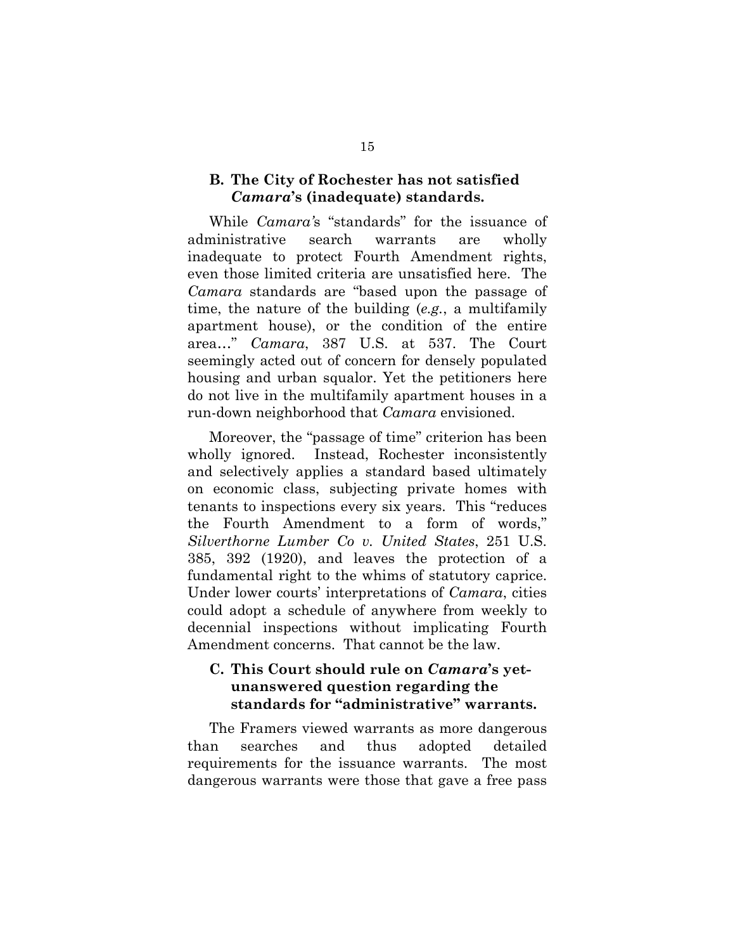#### **B. The City of Rochester has not satisfied**  *Camara***'s (inadequate) standards.**

While *Camara'*s "standards" for the issuance of administrative search warrants are wholly inadequate to protect Fourth Amendment rights, even those limited criteria are unsatisfied here. The *Camara* standards are "based upon the passage of time, the nature of the building (*e.g.*, a multifamily apartment house), or the condition of the entire area…" *Camara*, 387 U.S. at 537. The Court seemingly acted out of concern for densely populated housing and urban squalor. Yet the petitioners here do not live in the multifamily apartment houses in a run-down neighborhood that *Camara* envisioned.

Moreover, the "passage of time" criterion has been wholly ignored. Instead, Rochester inconsistently and selectively applies a standard based ultimately on economic class, subjecting private homes with tenants to inspections every six years. This "reduces the Fourth Amendment to a form of words," *Silverthorne Lumber Co v. United States*, 251 U.S. 385, 392 (1920), and leaves the protection of a fundamental right to the whims of statutory caprice. Under lower courts' interpretations of *Camara*, cities could adopt a schedule of anywhere from weekly to decennial inspections without implicating Fourth Amendment concerns. That cannot be the law.

## **C. This Court should rule on** *Camara***'s yetunanswered question regarding the standards for "administrative" warrants.**

The Framers viewed warrants as more dangerous than searches and thus adopted detailed requirements for the issuance warrants. The most dangerous warrants were those that gave a free pass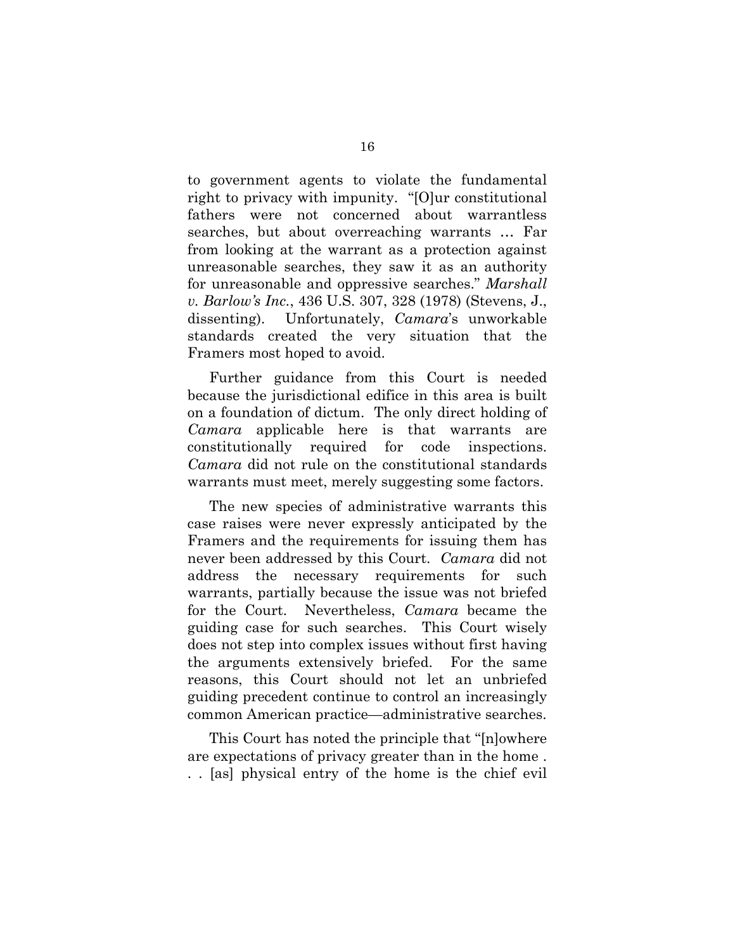to government agents to violate the fundamental right to privacy with impunity. "[O]ur constitutional fathers were not concerned about warrantless searches, but about overreaching warrants … Far from looking at the warrant as a protection against unreasonable searches, they saw it as an authority for unreasonable and oppressive searches." *Marshall v. Barlow's Inc.*, 436 U.S. 307, 328 (1978) (Stevens, J., dissenting). Unfortunately, *Camara*'s unworkable standards created the very situation that the Framers most hoped to avoid.

Further guidance from this Court is needed because the jurisdictional edifice in this area is built on a foundation of dictum. The only direct holding of *Camara* applicable here is that warrants are constitutionally required for code inspections. *Camara* did not rule on the constitutional standards warrants must meet, merely suggesting some factors.

The new species of administrative warrants this case raises were never expressly anticipated by the Framers and the requirements for issuing them has never been addressed by this Court. *Camara* did not address the necessary requirements for such warrants, partially because the issue was not briefed for the Court. Nevertheless, *Camara* became the guiding case for such searches. This Court wisely does not step into complex issues without first having the arguments extensively briefed. For the same reasons, this Court should not let an unbriefed guiding precedent continue to control an increasingly common American practice—administrative searches.

This Court has noted the principle that "[n]owhere are expectations of privacy greater than in the home . . . [as] physical entry of the home is the chief evil